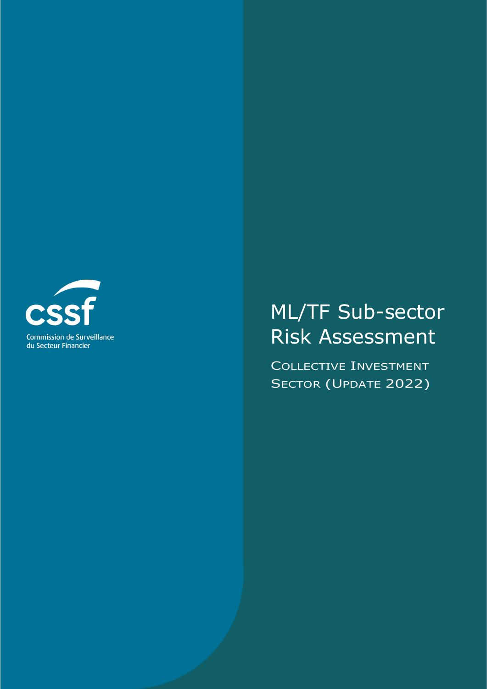

# ML/TF Sub-sector Risk Assessment

COLLECTIVE INVESTMENT SECTOR (UPDATE 2022)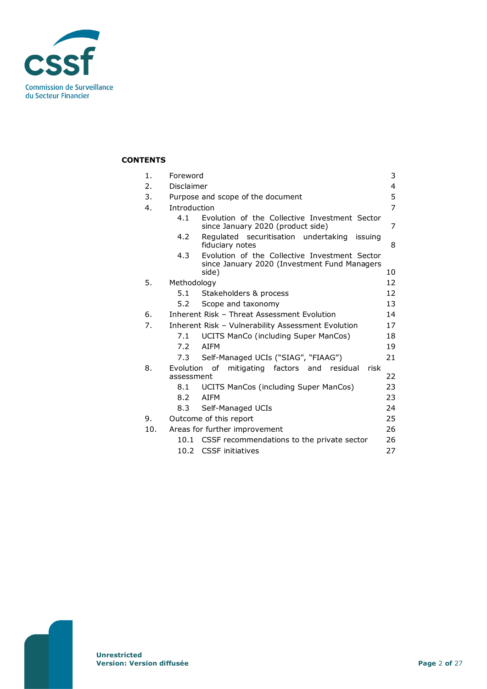

## **CONTENTS**

| 1.  | 3<br>Foreword                     |                                                                                               |    |
|-----|-----------------------------------|-----------------------------------------------------------------------------------------------|----|
| 2.  | Disclaimer<br>4                   |                                                                                               |    |
| 3.  | Purpose and scope of the document |                                                                                               | 5  |
| 4.  | <b>Introduction</b>               |                                                                                               |    |
|     | 4.1                               | Evolution of the Collective Investment Sector<br>since January 2020 (product side)            | 7  |
|     | 4.2                               | Regulated securitisation undertaking<br>issuing<br>fiduciary notes                            | 8  |
|     | 4.3                               | Evolution of the Collective Investment Sector<br>since January 2020 (Investment Fund Managers |    |
|     |                                   | side)                                                                                         | 10 |
| 5.  | Methodology                       |                                                                                               | 12 |
|     | 5.1                               | Stakeholders & process                                                                        | 12 |
|     | 5.2                               | Scope and taxonomy                                                                            | 13 |
| 6.  |                                   | Inherent Risk - Threat Assessment Evolution<br>14                                             |    |
| 7.  |                                   | Inherent Risk - Vulnerability Assessment Evolution<br>17                                      |    |
|     | 7.1                               | UCITS ManCo (including Super ManCos)                                                          | 18 |
|     | 7.2                               | <b>ATFM</b>                                                                                   | 19 |
|     | 7.3                               | Self-Managed UCIs ("SIAG", "FIAAG")                                                           | 21 |
| 8.  | Evolution                         | of<br>mitigating factors and<br>residual<br>risk                                              |    |
|     | assessment                        |                                                                                               | 22 |
|     | 8.1                               | UCITS ManCos (including Super ManCos)                                                         | 23 |
|     | 8.2                               | <b>ATFM</b>                                                                                   | 23 |
|     | 8.3                               | Self-Managed UCIs                                                                             | 24 |
| 9.  | Outcome of this report            |                                                                                               | 25 |
| 10. | Areas for further improvement     |                                                                                               | 26 |
|     | 10.1                              | CSSF recommendations to the private sector                                                    | 26 |
|     | 10.2 <sub>1</sub>                 | <b>CSSF</b> initiatives                                                                       | 27 |
|     |                                   |                                                                                               |    |

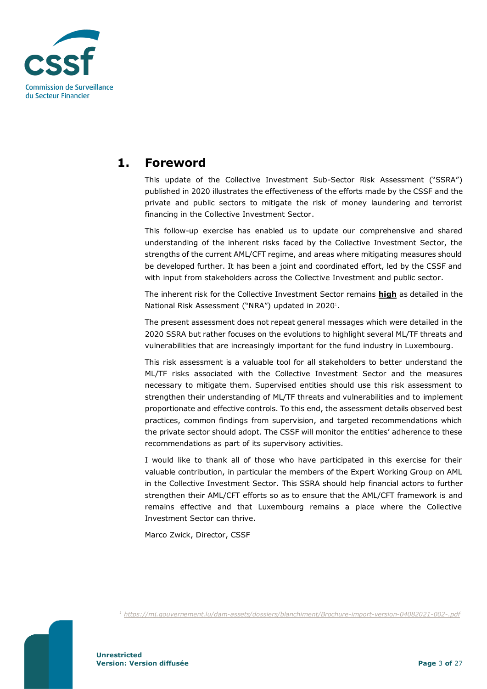

# <span id="page-2-0"></span>**1. Foreword**

This update of the Collective Investment Sub-Sector Risk Assessment ("SSRA") published in 2020 illustrates the effectiveness of the efforts made by the CSSF and the private and public sectors to mitigate the risk of money laundering and terrorist financing in the Collective Investment Sector.

This follow-up exercise has enabled us to update our comprehensive and shared understanding of the inherent risks faced by the Collective Investment Sector, the strengths of the current AML/CFT regime, and areas where mitigating measures should be developed further. It has been a joint and coordinated effort, led by the CSSF and with input from stakeholders across the Collective Investment and public sector.

The inherent risk for the Collective Investment Sector remains **high** as detailed in the National Risk Assessment ("NRA") updated in 2020<sup>1</sup>.

The present assessment does not repeat general messages which were detailed in the 2020 SSRA but rather focuses on the evolutions to highlight several ML/TF threats and vulnerabilities that are increasingly important for the fund industry in Luxembourg.

This risk assessment is a valuable tool for all stakeholders to better understand the ML/TF risks associated with the Collective Investment Sector and the measures necessary to mitigate them. Supervised entities should use this risk assessment to strengthen their understanding of ML/TF threats and vulnerabilities and to implement proportionate and effective controls. To this end, the assessment details observed best practices, common findings from supervision, and targeted recommendations which the private sector should adopt. The CSSF will monitor the entities' adherence to these recommendations as part of its supervisory activities.

I would like to thank all of those who have participated in this exercise for their valuable contribution, in particular the members of the Expert Working Group on AML in the Collective Investment Sector. This SSRA should help financial actors to further strengthen their AML/CFT efforts so as to ensure that the AML/CFT framework is and remains effective and that Luxembourg remains a place where the Collective Investment Sector can thrive.

Marco Zwick, Director, CSSF

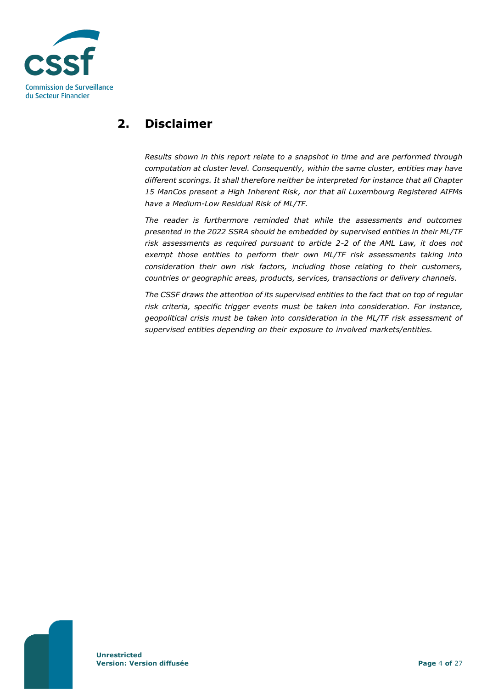

# <span id="page-3-0"></span>**2. Disclaimer**

*Results shown in this report relate to a snapshot in time and are performed through computation at cluster level. Consequently, within the same cluster, entities may have different scorings. It shall therefore neither be interpreted for instance that all Chapter 15 ManCos present a High Inherent Risk, nor that all Luxembourg Registered AIFMs have a Medium-Low Residual Risk of ML/TF.*

*The reader is furthermore reminded that while the assessments and outcomes presented in the 2022 SSRA should be embedded by supervised entities in their ML/TF risk assessments as required pursuant to article 2-2 of the AML Law, it does not exempt those entities to perform their own ML/TF risk assessments taking into consideration their own risk factors, including those relating to their customers, countries or geographic areas, products, services, transactions or delivery channels.*

*The CSSF draws the attention of its supervised entities to the fact that on top of regular risk criteria, specific trigger events must be taken into consideration. For instance, geopolitical crisis must be taken into consideration in the ML/TF risk assessment of supervised entities depending on their exposure to involved markets/entities.*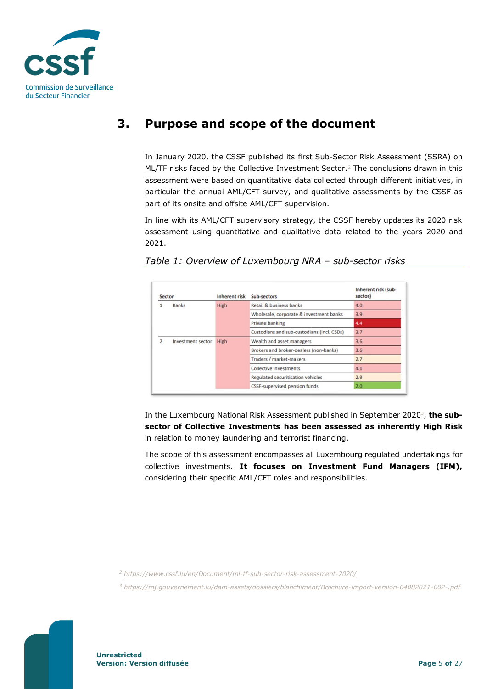

# <span id="page-4-0"></span>**3. Purpose and scope of the document**

In January 2020, the CSSF published its first Sub-Sector Risk Assessment (SSRA) on ML/TF risks faced by the Collective Investment Sector.<sup>2</sup> The conclusions drawn in this assessment were based on quantitative data collected through different initiatives, in particular the annual AML/CFT survey, and qualitative assessments by the CSSF as part of its onsite and offsite AML/CFT supervision.

In line with its AML/CFT supervisory strategy, the CSSF hereby updates its 2020 risk assessment using quantitative and qualitative data related to the years 2020 and 2021.

| <b>Sector</b> |                   | <b>Inherent risk</b>                   | Sub-sectors                                | Inherent risk (sub-<br>sector) |
|---------------|-------------------|----------------------------------------|--------------------------------------------|--------------------------------|
| <b>Banks</b>  |                   | <b>High</b>                            | Retail & business banks                    | 4.0                            |
|               |                   |                                        | Wholesale, corporate & investment banks    | 3.9                            |
|               |                   |                                        | Private banking                            | 4.4                            |
|               |                   |                                        | Custodians and sub-custodians (incl. CSDs) | 3.7                            |
| 2             | Investment sector | High                                   | Wealth and asset managers                  | 3.6                            |
|               |                   | Brokers and broker-dealers (non-banks) | 3.6                                        |                                |
|               |                   |                                        | Traders / market-makers                    | 2.7                            |
|               |                   |                                        | <b>Collective investments</b>              | 4.1                            |
|               |                   |                                        | Regulated securitisation vehicles          | 2.9                            |
|               |                   |                                        | <b>CSSF-supervised pension funds</b>       | 2.0                            |

*Table 1: Overview of Luxembourg NRA – sub-sector risks*

In the Luxembourg National Risk Assessment published in September 2020<sup>3</sup>, **the subsector of Collective Investments has been assessed as inherently High Risk** in relation to money laundering and terrorist financing.

The scope of this assessment encompasses all Luxembourg regulated undertakings for collective investments. **It focuses on Investment Fund Managers (IFM),** considering their specific AML/CFT roles and responsibilities.

*<sup>2</sup> <https://www.cssf.lu/en/Document/ml-tf-sub-sector-risk-assessment-2020/>*

*<sup>3</sup> <https://mj.gouvernement.lu/dam-assets/dossiers/blanchiment/Brochure-import-version-04082021-002-.pdf>*

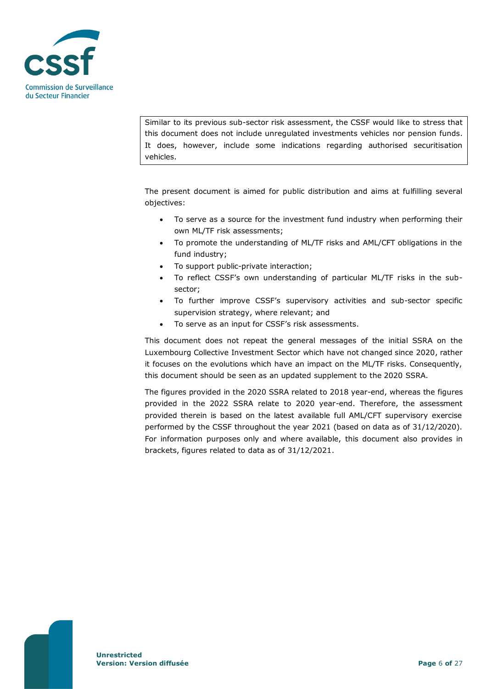

Similar to its previous sub-sector risk assessment, the CSSF would like to stress that this document does not include unregulated investments vehicles nor pension funds. It does, however, include some indications regarding authorised securitisation vehicles.

The present document is aimed for public distribution and aims at fulfilling several objectives:

- To serve as a source for the investment fund industry when performing their own ML/TF risk assessments;
- To promote the understanding of ML/TF risks and AML/CFT obligations in the fund industry;
- To support public-private interaction;
- To reflect CSSF's own understanding of particular ML/TF risks in the subsector;
- To further improve CSSF's supervisory activities and sub-sector specific supervision strategy, where relevant; and
- To serve as an input for CSSF's risk assessments.

This document does not repeat the general messages of the initial SSRA on the Luxembourg Collective Investment Sector which have not changed since 2020, rather it focuses on the evolutions which have an impact on the ML/TF risks. Consequently, this document should be seen as an updated supplement to the 2020 SSRA.

The figures provided in the 2020 SSRA related to 2018 year-end, whereas the figures provided in the 2022 SSRA relate to 2020 year-end. Therefore, the assessment provided therein is based on the latest available full AML/CFT supervisory exercise performed by the CSSF throughout the year 2021 (based on data as of 31/12/2020). For information purposes only and where available, this document also provides in brackets, figures related to data as of 31/12/2021.

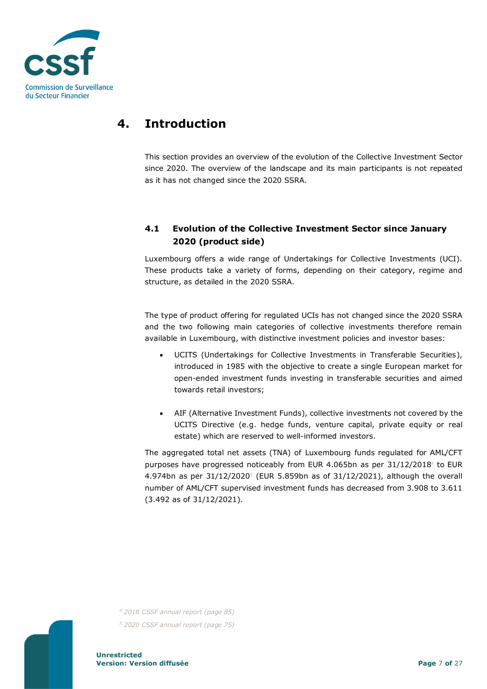

# <span id="page-6-0"></span>**4. Introduction**

This section provides an overview of the evolution of the Collective Investment Sector since 2020. The overview of the landscape and its main participants is not repeated as it has not changed since the 2020 SSRA.

# <span id="page-6-1"></span>**4.1 Evolution of the Collective Investment Sector since January 2020 (product side)**

Luxembourg offers a wide range of Undertakings for Collective Investments (UCI). These products take a variety of forms, depending on their category, regime and structure, as detailed in the 2020 SSRA.

The type of product offering for regulated UCIs has not changed since the 2020 SSRA and the two following main categories of collective investments therefore remain available in Luxembourg, with distinctive investment policies and investor bases:

- UCITS (Undertakings for Collective Investments in Transferable Securities), introduced in 1985 with the objective to create a single European market for open-ended investment funds investing in transferable securities and aimed towards retail investors;
- AIF (Alternative Investment Funds), collective investments not covered by the UCITS Directive (e.g. hedge funds, venture capital, private equity or real estate) which are reserved to well-informed investors.

The aggregated total net assets (TNA) of Luxembourg funds regulated for AML/CFT purposes have progressed noticeably from EUR 4.065bn as per  $31/12/2018^4$  to EUR 4.974bn as per  $31/12/20205$  (EUR 5.859bn as of  $31/12/2021$ ), although the overall number of AML/CFT supervised investment funds has decreased from 3.908 to 3.611 (3.492 as of 31/12/2021).



*<sup>4</sup> 2018 CSSF annual report (page 85) <sup>5</sup> 2020 CSSF annual report (page 75)*

**Unrestricted Version: Version diffusée Page** 7 **of** 27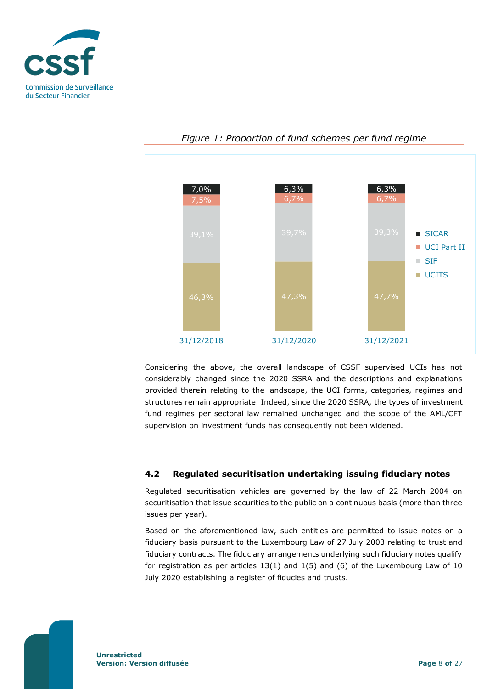



*Figure 1: Proportion of fund schemes per fund regime*

Considering the above, the overall landscape of CSSF supervised UCIs has not considerably changed since the 2020 SSRA and the descriptions and explanations provided therein relating to the landscape, the UCI forms, categories, regimes and structures remain appropriate. Indeed, since the 2020 SSRA, the types of investment fund regimes per sectoral law remained unchanged and the scope of the AML/CFT supervision on investment funds has consequently not been widened.

#### <span id="page-7-0"></span>**4.2 Regulated securitisation undertaking issuing fiduciary notes**

Regulated securitisation vehicles are governed by the law of 22 March 2004 on securitisation that issue securities to the public on a continuous basis (more than three issues per year).

Based on the aforementioned law, such entities are permitted to issue notes on a fiduciary basis pursuant to the Luxembourg Law of 27 July 2003 relating to trust and fiduciary contracts. The fiduciary arrangements underlying such fiduciary notes qualify for registration as per articles  $13(1)$  and  $1(5)$  and  $(6)$  of the Luxembourg Law of  $10$ July 2020 establishing a register of fiducies and trusts.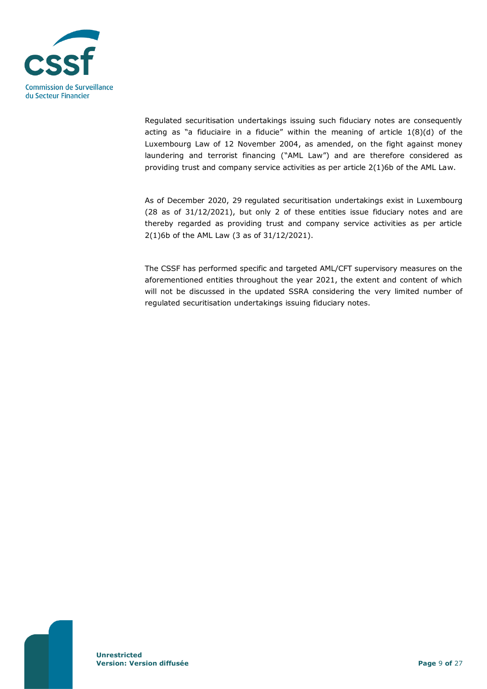

Regulated securitisation undertakings issuing such fiduciary notes are consequently acting as "a fiduciaire in a fiducie" within the meaning of article  $1(8)(d)$  of the Luxembourg Law of 12 November 2004, as amended, on the fight against money laundering and terrorist financing ("AML Law") and are therefore considered as providing trust and company service activities as per article 2(1)6b of the AML Law.

As of December 2020, 29 regulated securitisation undertakings exist in Luxembourg (28 as of 31/12/2021), but only 2 of these entities issue fiduciary notes and are thereby regarded as providing trust and company service activities as per article 2(1)6b of the AML Law (3 as of 31/12/2021).

The CSSF has performed specific and targeted AML/CFT supervisory measures on the aforementioned entities throughout the year 2021, the extent and content of which will not be discussed in the updated SSRA considering the very limited number of regulated securitisation undertakings issuing fiduciary notes.

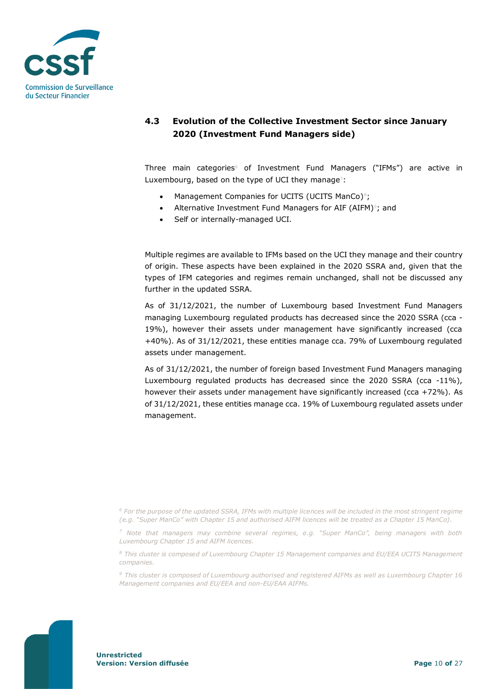

# <span id="page-9-0"></span>**4.3 Evolution of the Collective Investment Sector since January 2020 (Investment Fund Managers side)**

Three main categories<sup>6</sup> of Investment Fund Managers ("IFMs") are active in Luxembourg, based on the type of UCI they manage<sup>7</sup>:

- Management Companies for UCITS (UCITS ManCo)<sup>8</sup>;
- Alternative Investment Fund Managers for AIF (AIFM)<sup>9</sup>; and
- Self or internally-managed UCI.

Multiple regimes are available to IFMs based on the UCI they manage and their country of origin. These aspects have been explained in the 2020 SSRA and, given that the types of IFM categories and regimes remain unchanged, shall not be discussed any further in the updated SSRA.

As of 31/12/2021, the number of Luxembourg based Investment Fund Managers managing Luxembourg regulated products has decreased since the 2020 SSRA (cca - 19%), however their assets under management have significantly increased (cca +40%). As of 31/12/2021, these entities manage cca. 79% of Luxembourg regulated assets under management.

As of 31/12/2021, the number of foreign based Investment Fund Managers managing Luxembourg regulated products has decreased since the 2020 SSRA (cca -11%), however their assets under management have significantly increased (cca +72%). As of 31/12/2021, these entities manage cca. 19% of Luxembourg regulated assets under management.



*<sup>6</sup> For the purpose of the updated SSRA, IFMs with multiple licences will be included in the most stringent regime (e.g. "Super ManCo" with Chapter 15 and authorised AIFM licences will be treated as a Chapter 15 ManCo).*

*<sup>7</sup> Note that managers may combine several regimes, e.g. "Super ManCo", being managers with both Luxembourg Chapter 15 and AIFM licences.* 

*<sup>8</sup> This cluster is composed of Luxembourg Chapter 15 Management companies and EU/EEA UCITS Management companies.*

*<sup>9</sup> This cluster is composed of Luxembourg authorised and registered AIFMs as well as Luxembourg Chapter 16 Management companies and EU/EEA and non-EU/EAA AIFMs.*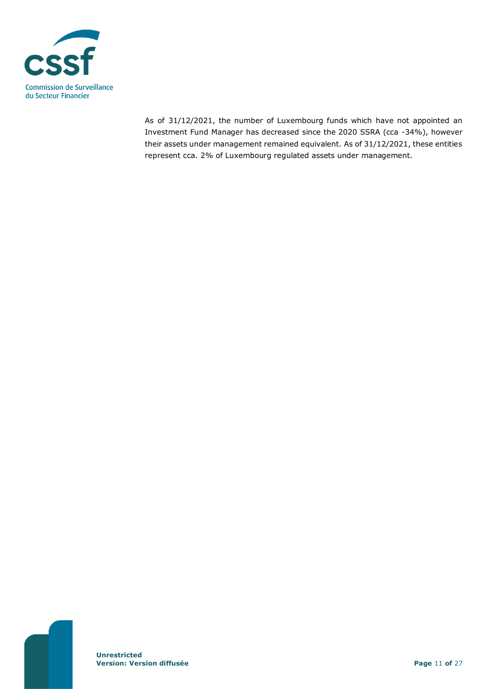

As of 31/12/2021, the number of Luxembourg funds which have not appointed an Investment Fund Manager has decreased since the 2020 SSRA (cca -34%), however their assets under management remained equivalent. As of 31/12/2021, these entities represent cca. 2% of Luxembourg regulated assets under management.

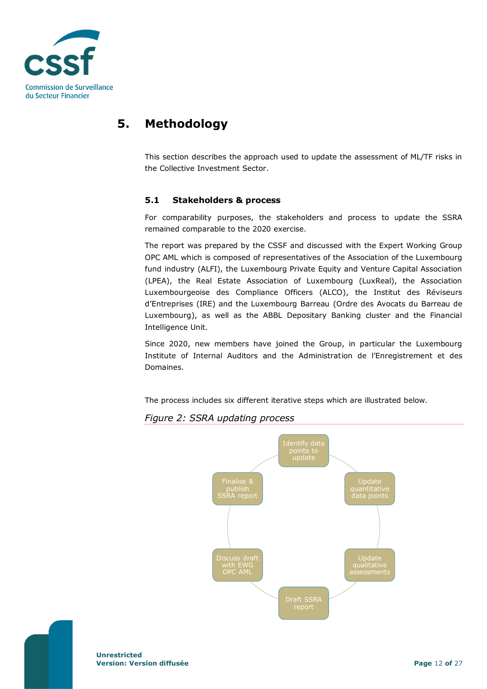

# <span id="page-11-0"></span>**5. Methodology**

This section describes the approach used to update the assessment of ML/TF risks in the Collective Investment Sector.

#### <span id="page-11-1"></span>**5.1 Stakeholders & process**

For comparability purposes, the stakeholders and process to update the SSRA remained comparable to the 2020 exercise.

The report was prepared by the CSSF and discussed with the Expert Working Group OPC AML which is composed of representatives of the Association of the Luxembourg fund industry (ALFI), the Luxembourg Private Equity and Venture Capital Association (LPEA), the Real Estate Association of Luxembourg (LuxReal), the Association Luxembourgeoise des Compliance Officers (ALCO), the Institut des Réviseurs d'Entreprises (IRE) and the Luxembourg Barreau (Ordre des Avocats du Barreau de Luxembourg), as well as the ABBL Depositary Banking cluster and the Financial Intelligence Unit.

Since 2020, new members have joined the Group, in particular the Luxembourg Institute of Internal Auditors and the Administration de l'Enregistrement et des Domaines.

The process includes six different iterative steps which are illustrated below.

## *Figure 2: SSRA updating process*



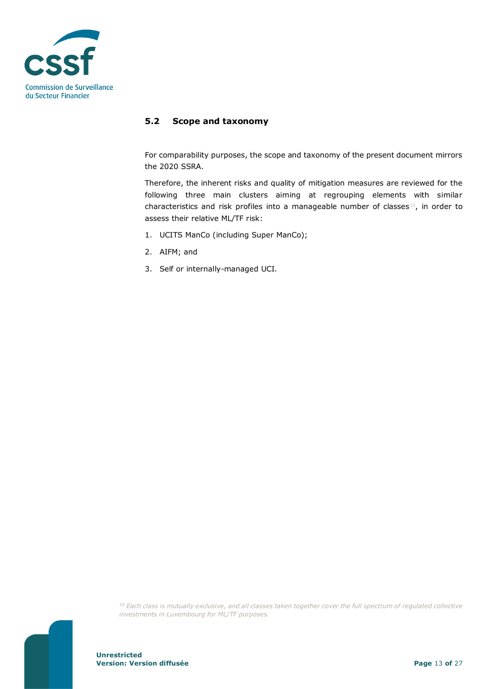

### <span id="page-12-0"></span>**5.2 Scope and taxonomy**

For comparability purposes, the scope and taxonomy of the present document mirrors the 2020 SSRA.

Therefore, the inherent risks and quality of mitigation measures are reviewed for the following three main clusters aiming at regrouping elements with similar characteristics and risk profiles into a manageable number of classes<sup>10</sup>, in order to assess their relative ML/TF risk:

- 1. UCITS ManCo (including Super ManCo);
- 2. AIFM; and
- 3. Self or internally-managed UCI.

*<sup>10</sup> Each class is mutually exclusive, and all classes taken together cover the full spectrum of regulated collective investments in Luxembourg for ML/TF purposes.*

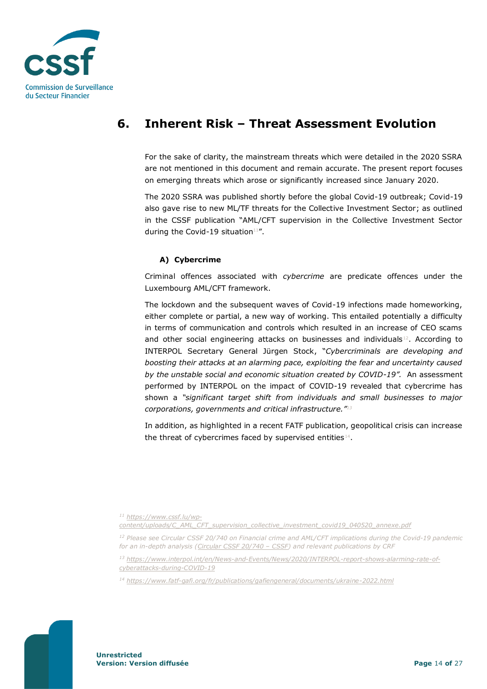

# <span id="page-13-0"></span>**6. Inherent Risk – Threat Assessment Evolution**

For the sake of clarity, the mainstream threats which were detailed in the 2020 SSRA are not mentioned in this document and remain accurate. The present report focuses on emerging threats which arose or significantly increased since January 2020.

The 2020 SSRA was published shortly before the global Covid-19 outbreak; Covid-19 also gave rise to new ML/TF threats for the Collective Investment Sector; as outlined in the CSSF publication "AML/CFT supervision in the Collective Investment Sector during the Covid-19 situation $11''$ .

### **A) Cybercrime**

Criminal offences associated with *cybercrime* are predicate offences under the Luxembourg AML/CFT framework.

The lockdown and the subsequent waves of Covid-19 infections made homeworking, either complete or partial, a new way of working. This entailed potentially a difficulty in terms of communication and controls which resulted in an increase of CEO scams and other social engineering attacks on businesses and individuals $12$ . According to INTERPOL Secretary General Jürgen Stock, "*Cybercriminals are developing and boosting their attacks at an alarming pace, exploiting the fear and uncertainty caused by the unstable social and economic situation created by COVID-19".* An assessment performed by INTERPOL on the impact of COVID-19 revealed that cybercrime has shown a *"significant target shift from individuals and small businesses to major corporations, governments and critical infrastructure."<sup>13</sup>*

In addition, as highlighted in a recent FATF publication, geopolitical crisis can increase the threat of cybercrimes faced by supervised entities $^{14}$ .

*<sup>11</sup> [https://www.cssf.lu/wp](https://www.cssf.lu/wp-content/uploads/C_AML_CFT_supervision_collective_investment_covid19_040520_annexe.pdf)[content/uploads/C\\_AML\\_CFT\\_supervision\\_collective\\_investment\\_covid19\\_040520\\_annexe.pdf](https://www.cssf.lu/wp-content/uploads/C_AML_CFT_supervision_collective_investment_covid19_040520_annexe.pdf)*

*<sup>13</sup> [https://www.interpol.int/en/News-and-Events/News/2020/INTERPOL-report-shows-alarming-rate-of](https://www.interpol.int/en/News-and-Events/News/2020/INTERPOL-report-shows-alarming-rate-of-cyberattacks-during-COVID-19)[cyberattacks-during-COVID-19](https://www.interpol.int/en/News-and-Events/News/2020/INTERPOL-report-shows-alarming-rate-of-cyberattacks-during-COVID-19)*

*<sup>14</sup> <https://www.fatf-gafi.org/fr/publications/gafiengeneral/documents/ukraine-2022.html>*



*<sup>12</sup> Please see Circular CSSF 20/740 on Financial crime and AML/CFT implications during the Covid-19 pandemic for an in-depth analysis [\(Circular CSSF 20/740](https://www.cssf.lu/en/Document/circular-cssf-20-740/) – CSSF) and relevant publications by CRF*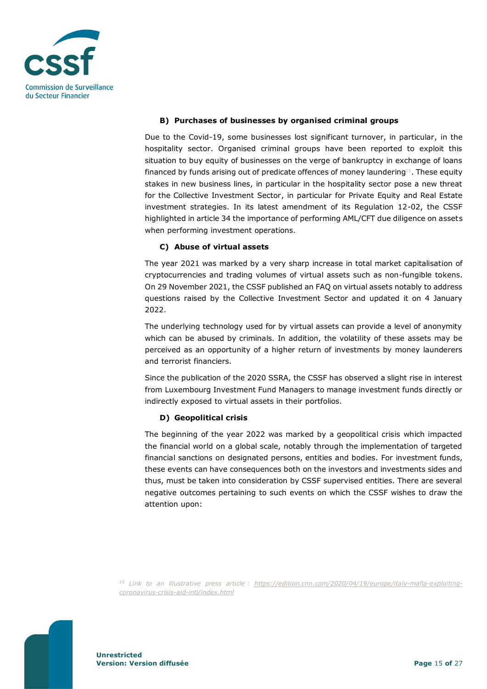

#### **B) Purchases of businesses by organised criminal groups**

Due to the Covid-19, some businesses lost significant turnover, in particular, in the hospitality sector. Organised criminal groups have been reported to exploit this situation to buy equity of businesses on the verge of bankruptcy in exchange of loans financed by funds arising out of predicate offences of money laundering<sup>15</sup>. These equity stakes in new business lines, in particular in the hospitality sector pose a new threat for the Collective Investment Sector, in particular for Private Equity and Real Estate investment strategies. In its latest amendment of its Regulation 12-02, the CSSF highlighted in article 34 the importance of performing AML/CFT due diligence on assets when performing investment operations.

#### **C) Abuse of virtual assets**

The year 2021 was marked by a very sharp increase in total market capitalisation of cryptocurrencies and trading volumes of virtual assets such as non-fungible tokens. On 29 November 2021, the CSSF published an FAQ on virtual assets notably to address questions raised by the Collective Investment Sector and updated it on 4 January 2022.

The underlying technology used for by virtual assets can provide a level of anonymity which can be abused by criminals. In addition, the volatility of these assets may be perceived as an opportunity of a higher return of investments by money launderers and terrorist financiers.

Since the publication of the 2020 SSRA, the CSSF has observed a slight rise in interest from Luxembourg Investment Fund Managers to manage investment funds directly or indirectly exposed to virtual assets in their portfolios.

#### **D) Geopolitical crisis**

The beginning of the year 2022 was marked by a geopolitical crisis which impacted the financial world on a global scale, notably through the implementation of targeted financial sanctions on designated persons, entities and bodies. For investment funds, these events can have consequences both on the investors and investments sides and thus, must be taken into consideration by CSSF supervised entities. There are several negative outcomes pertaining to such events on which the CSSF wishes to draw the attention upon:

*<sup>15</sup> Link to an illustrative press article : [https://edition.cnn.com/2020/04/19/europe/italy-mafia-exploiting](https://edition.cnn.com/2020/04/19/europe/italy-mafia-exploiting-coronavirus-crisis-aid-intl/index.html)[coronavirus-crisis-aid-intl/index.html](https://edition.cnn.com/2020/04/19/europe/italy-mafia-exploiting-coronavirus-crisis-aid-intl/index.html)*

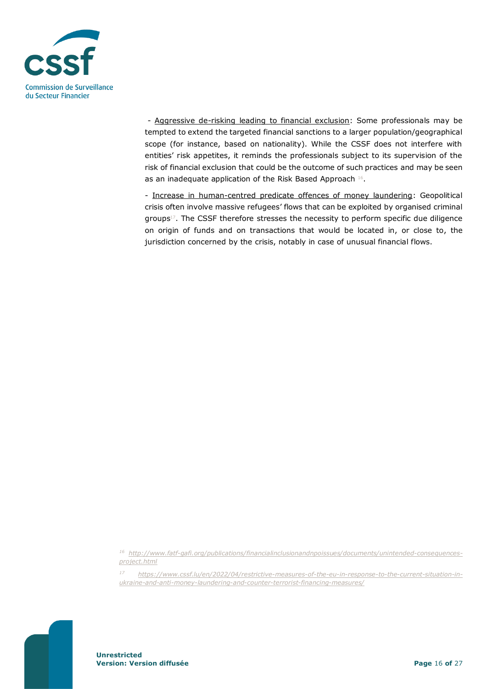

- Aggressive de-risking leading to financial exclusion: Some professionals may be tempted to extend the targeted financial sanctions to a larger population/geographical scope (for instance, based on nationality). While the CSSF does not interfere with entities' risk appetites, it reminds the professionals subject to its supervision of the risk of financial exclusion that could be the outcome of such practices and may be seen as an inadequate application of the Risk Based Approach 16.

- Increase in human-centred predicate offences of money laundering: Geopolitical crisis often involve massive refugees' flows that can be exploited by organised criminal groups<sup>17</sup>. The CSSF therefore stresses the necessity to perform specific due diligence on origin of funds and on transactions that would be located in, or close to, the jurisdiction concerned by the crisis, notably in case of unusual financial flows.



*<sup>16</sup> [http://www.fatf-gafi.org/publications/financialinclusionandnpoissues/documents/unintended-consequences](http://www.fatf-gafi.org/publications/financialinclusionandnpoissues/documents/unintended-consequences-project.html)[project.html](http://www.fatf-gafi.org/publications/financialinclusionandnpoissues/documents/unintended-consequences-project.html)*

*<sup>17</sup> [https://www.cssf.lu/en/2022/04/restrictive-measures-of-the-eu-in-response-to-the-current-situation-in](https://www.cssf.lu/en/2022/04/restrictive-measures-of-the-eu-in-response-to-the-current-situation-in-ukraine-and-anti-money-laundering-and-counter-terrorist-financing-measures/)[ukraine-and-anti-money-laundering-and-counter-terrorist-financing-measures/](https://www.cssf.lu/en/2022/04/restrictive-measures-of-the-eu-in-response-to-the-current-situation-in-ukraine-and-anti-money-laundering-and-counter-terrorist-financing-measures/)*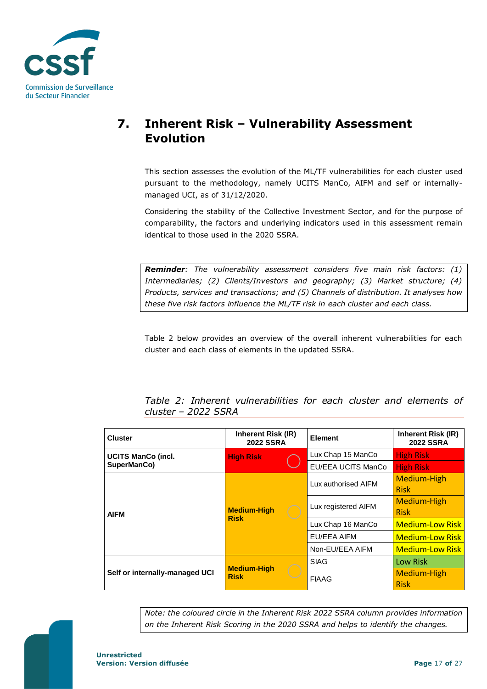

# <span id="page-16-0"></span>**7. Inherent Risk – Vulnerability Assessment Evolution**

This section assesses the evolution of the ML/TF vulnerabilities for each cluster used pursuant to the methodology, namely UCITS ManCo, AIFM and self or internallymanaged UCI, as of 31/12/2020.

Considering the stability of the Collective Investment Sector, and for the purpose of comparability, the factors and underlying indicators used in this assessment remain identical to those used in the 2020 SSRA.

*Reminder: The vulnerability assessment considers five main risk factors: (1) Intermediaries; (2) Clients/Investors and geography; (3) Market structure; (4) Products, services and transactions; and (5) Channels of distribution. It analyses how these five risk factors influence the ML/TF risk in each cluster and each class.*

Table 2 below provides an overview of the overall inherent vulnerabilities for each cluster and each class of elements in the updated SSRA.

*Table 2: Inherent vulnerabilities for each cluster and elements of cluster – 2022 SSRA*

| <b>Cluster</b>                 | Inherent Risk (IR)<br><b>2022 SSRA</b> | <b>Element</b>      | Inherent Risk (IR)<br><b>2022 SSRA</b> |
|--------------------------------|----------------------------------------|---------------------|----------------------------------------|
| <b>UCITS ManCo (incl.</b>      | <b>High Risk</b>                       | Lux Chap 15 ManCo   | <b>High Risk</b>                       |
| SuperManCo)                    |                                        | EU/EEA UCITS ManCo  | <b>High Risk</b>                       |
|                                |                                        | Lux authorised AIFM | Medium-High<br><b>Risk</b>             |
| <b>AIFM</b>                    | <b>Medium-High</b><br><b>Risk</b>      | Lux registered AIFM | Medium-High<br><b>Risk</b>             |
|                                |                                        | Lux Chap 16 ManCo   | <b>Medium-Low Risk</b>                 |
|                                |                                        | EU/EEA AIFM         | <b>Medium-Low Risk</b>                 |
|                                |                                        | Non-EU/EEA AIFM     | <b>Medium-Low Risk</b>                 |
|                                |                                        | <b>SIAG</b>         | Low Risk                               |
| Self or internally-managed UCI | <b>Medium-High</b><br><b>Risk</b>      | <b>FIAAG</b>        | Medium-High<br><b>Risk</b>             |

*Note: the coloured circle in the Inherent Risk 2022 SSRA column provides information on the Inherent Risk Scoring in the 2020 SSRA and helps to identify the changes.*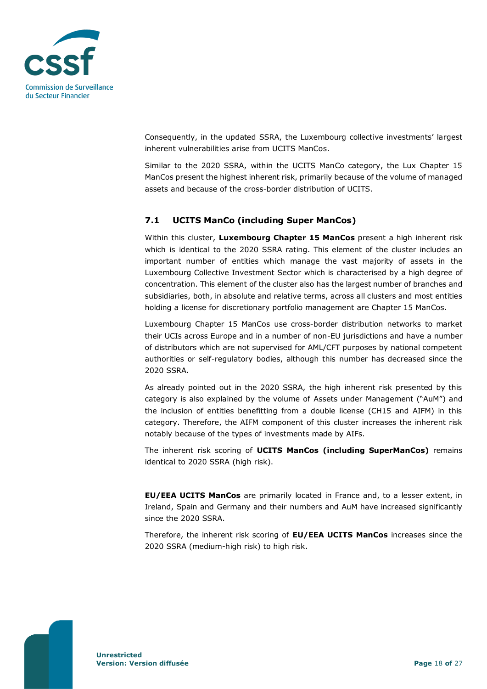

Consequently, in the updated SSRA, the Luxembourg collective investments' largest inherent vulnerabilities arise from UCITS ManCos.

Similar to the 2020 SSRA, within the UCITS ManCo category, the Lux Chapter 15 ManCos present the highest inherent risk, primarily because of the volume of managed assets and because of the cross-border distribution of UCITS.

### <span id="page-17-0"></span>**7.1 UCITS ManCo (including Super ManCos)**

Within this cluster, **Luxembourg Chapter 15 ManCos** present a high inherent risk which is identical to the 2020 SSRA rating. This element of the cluster includes an important number of entities which manage the vast majority of assets in the Luxembourg Collective Investment Sector which is characterised by a high degree of concentration. This element of the cluster also has the largest number of branches and subsidiaries, both, in absolute and relative terms, across all clusters and most entities holding a license for discretionary portfolio management are Chapter 15 ManCos.

Luxembourg Chapter 15 ManCos use cross-border distribution networks to market their UCIs across Europe and in a number of non-EU jurisdictions and have a number of distributors which are not supervised for AML/CFT purposes by national competent authorities or self-regulatory bodies, although this number has decreased since the 2020 SSRA.

As already pointed out in the 2020 SSRA, the high inherent risk presented by this category is also explained by the volume of Assets under Management ("AuM") and the inclusion of entities benefitting from a double license (CH15 and AIFM) in this category. Therefore, the AIFM component of this cluster increases the inherent risk notably because of the types of investments made by AIFs.

The inherent risk scoring of **UCITS ManCos (including SuperManCos)** remains identical to 2020 SSRA (high risk).

**EU/EEA UCITS ManCos** are primarily located in France and, to a lesser extent, in Ireland, Spain and Germany and their numbers and AuM have increased significantly since the 2020 SSRA.

Therefore, the inherent risk scoring of **EU/EEA UCITS ManCos** increases since the 2020 SSRA (medium-high risk) to high risk.

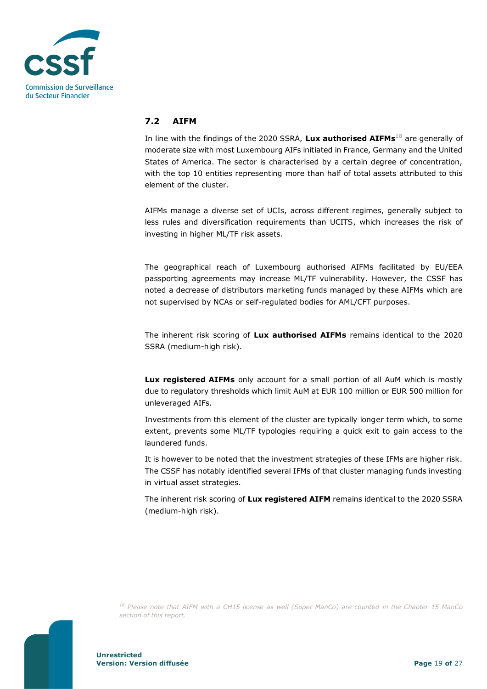

### <span id="page-18-0"></span>**7.2 AIFM**

In line with the findings of the 2020 SSRA, **Lux authorised AIFMs <sup>18</sup>** are generally of moderate size with most Luxembourg AIFs initiated in France, Germany and the United States of America. The sector is characterised by a certain degree of concentration, with the top 10 entities representing more than half of total assets attributed to this element of the cluster.

AIFMs manage a diverse set of UCIs, across different regimes, generally subject to less rules and diversification requirements than UCITS, which increases the risk of investing in higher ML/TF risk assets.

The geographical reach of Luxembourg authorised AIFMs facilitated by EU/EEA passporting agreements may increase ML/TF vulnerability. However, the CSSF has noted a decrease of distributors marketing funds managed by these AIFMs which are not supervised by NCAs or self-regulated bodies for AML/CFT purposes.

The inherent risk scoring of **Lux authorised AIFMs** remains identical to the 2020 SSRA (medium-high risk).

**Lux registered AIFMs** only account for a small portion of all AuM which is mostly due to regulatory thresholds which limit AuM at EUR 100 million or EUR 500 million for unleveraged AIFs.

Investments from this element of the cluster are typically longer term which, to some extent, prevents some ML/TF typologies requiring a quick exit to gain access to the laundered funds.

It is however to be noted that the investment strategies of these IFMs are higher risk. The CSSF has notably identified several IFMs of that cluster managing funds investing in virtual asset strategies.

The inherent risk scoring of **Lux registered AIFM** remains identical to the 2020 SSRA (medium-high risk).

*<sup>18</sup> Please note that AIFM with a CH15 license as well (Super ManCo) are counted in the Chapter 15 ManCo section of this report.*



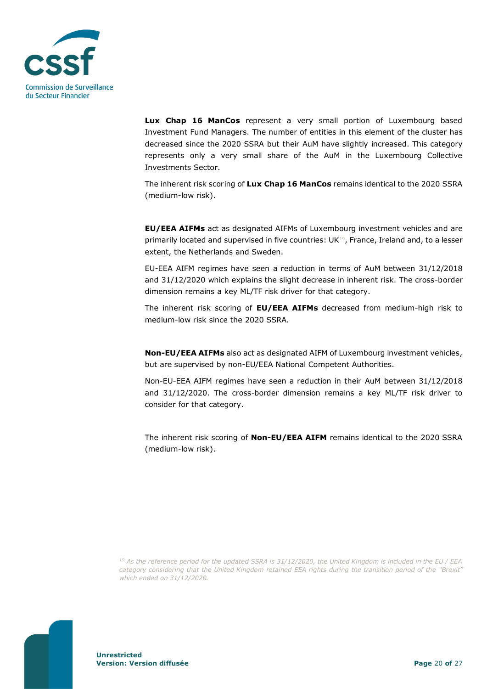

**Lux Chap 16 ManCos** represent a very small portion of Luxembourg based Investment Fund Managers. The number of entities in this element of the cluster has decreased since the 2020 SSRA but their AuM have slightly increased. This category represents only a very small share of the AuM in the Luxembourg Collective Investments Sector.

The inherent risk scoring of **Lux Chap 16 ManCos** remains identical to the 2020 SSRA (medium-low risk).

**EU/EEA AIFMs** act as designated AIFMs of Luxembourg investment vehicles and are primarily located and supervised in five countries: UK19, France, Ireland and, to a lesser extent, the Netherlands and Sweden.

EU-EEA AIFM regimes have seen a reduction in terms of AuM between 31/12/2018 and 31/12/2020 which explains the slight decrease in inherent risk. The cross-border dimension remains a key ML/TF risk driver for that category.

The inherent risk scoring of **EU/EEA AIFMs** decreased from medium-high risk to medium-low risk since the 2020 SSRA.

**Non-EU/EEA AIFMs** also act as designated AIFM of Luxembourg investment vehicles, but are supervised by non-EU/EEA National Competent Authorities.

Non-EU-EEA AIFM regimes have seen a reduction in their AuM between 31/12/2018 and 31/12/2020. The cross-border dimension remains a key ML/TF risk driver to consider for that category.

The inherent risk scoring of **Non-EU/EEA AIFM** remains identical to the 2020 SSRA (medium-low risk).

*<sup>19</sup> As the reference period for the updated SSRA is 31/12/2020, the United Kingdom is included in the EU / EEA category considering that the United Kingdom retained EEA rights during the transition period of the "Brexit" which ended on 31/12/2020.* 

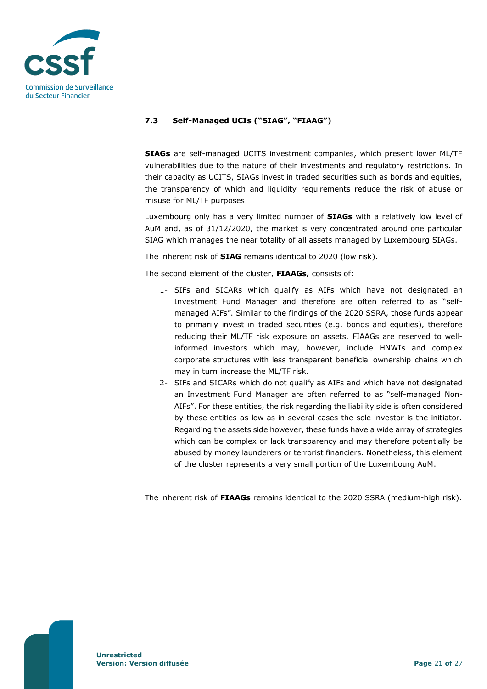

#### <span id="page-20-0"></span>**7.3 Self-Managed UCIs ("SIAG", "FIAAG")**

**SIAGs** are self-managed UCITS investment companies, which present lower ML/TF vulnerabilities due to the nature of their investments and regulatory restrictions. In their capacity as UCITS, SIAGs invest in traded securities such as bonds and equities, the transparency of which and liquidity requirements reduce the risk of abuse or misuse for ML/TF purposes.

Luxembourg only has a very limited number of **SIAGs** with a relatively low level of AuM and, as of 31/12/2020, the market is very concentrated around one particular SIAG which manages the near totality of all assets managed by Luxembourg SIAGs.

The inherent risk of **SIAG** remains identical to 2020 (low risk).

The second element of the cluster, **FIAAGs,** consists of:

- 1- SIFs and SICARs which qualify as AIFs which have not designated an Investment Fund Manager and therefore are often referred to as "selfmanaged AIFs". Similar to the findings of the 2020 SSRA, those funds appear to primarily invest in traded securities (e.g. bonds and equities), therefore reducing their ML/TF risk exposure on assets. FIAAGs are reserved to wellinformed investors which may, however, include HNWIs and complex corporate structures with less transparent beneficial ownership chains which may in turn increase the ML/TF risk.
- 2- SIFs and SICARs which do not qualify as AIFs and which have not designated an Investment Fund Manager are often referred to as "self-managed Non-AIFs". For these entities, the risk regarding the liability side is often considered by these entities as low as in several cases the sole investor is the initiator. Regarding the assets side however, these funds have a wide array of strategies which can be complex or lack transparency and may therefore potentially be abused by money launderers or terrorist financiers. Nonetheless, this element of the cluster represents a very small portion of the Luxembourg AuM.

The inherent risk of **FIAAGs** remains identical to the 2020 SSRA (medium-high risk).

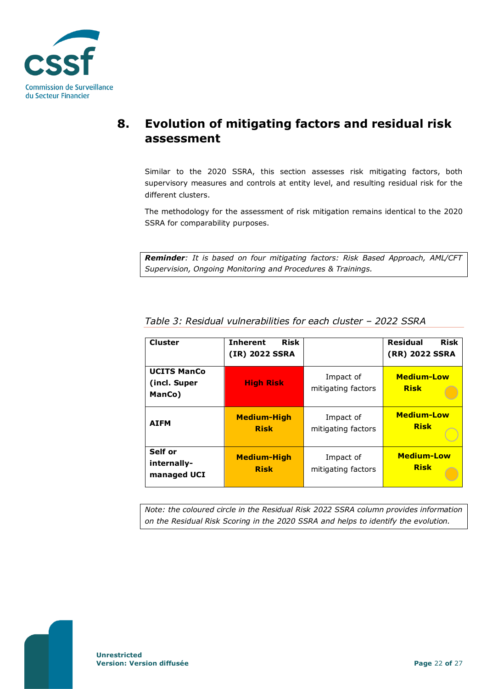

# <span id="page-21-0"></span>**8. Evolution of mitigating factors and residual risk assessment**

Similar to the 2020 SSRA, this section assesses risk mitigating factors, both supervisory measures and controls at entity level, and resulting residual risk for the different clusters.

The methodology for the assessment of risk mitigation remains identical to the 2020 SSRA for comparability purposes.

*Reminder: It is based on four mitigating factors: Risk Based Approach, AML/CFT Supervision, Ongoing Monitoring and Procedures & Trainings.*

| <b>Cluster</b>                               | <b>Risk</b><br><b>Inherent</b><br>(IR) 2022 SSRA |                                 | <b>Residual</b><br><b>Risk</b><br>(RR) 2022 SSRA |
|----------------------------------------------|--------------------------------------------------|---------------------------------|--------------------------------------------------|
| <b>UCITS ManCo</b><br>(incl. Super<br>ManCo) | <b>High Risk</b>                                 | Impact of<br>mitigating factors | <b>Medium-Low</b><br><b>Risk</b>                 |
| <b>AIFM</b>                                  | <b>Medium-High</b><br><b>Risk</b>                | Impact of<br>mitigating factors | <b>Medium-Low</b><br><b>Risk</b>                 |
| Self or<br>internally-<br>managed UCI        | <b>Medium-High</b><br><b>Risk</b>                | Impact of<br>mitigating factors | <b>Medium-Low</b><br><b>Risk</b>                 |

*Table 3: Residual vulnerabilities for each cluster – 2022 SSRA*

*Note: the coloured circle in the Residual Risk 2022 SSRA column provides information on the Residual Risk Scoring in the 2020 SSRA and helps to identify the evolution.*

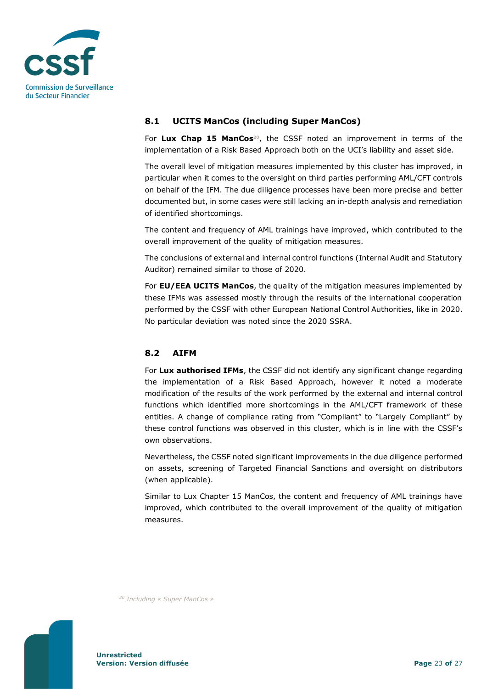

### <span id="page-22-0"></span>**8.1 UCITS ManCos (including Super ManCos)**

For **Lux Chap 15 ManCos <sup>20</sup>**, the CSSF noted an improvement in terms of the implementation of a Risk Based Approach both on the UCI's liability and asset side.

The overall level of mitigation measures implemented by this cluster has improved, in particular when it comes to the oversight on third parties performing AML/CFT controls on behalf of the IFM. The due diligence processes have been more precise and better documented but, in some cases were still lacking an in-depth analysis and remediation of identified shortcomings.

The content and frequency of AML trainings have improved, which contributed to the overall improvement of the quality of mitigation measures.

The conclusions of external and internal control functions (Internal Audit and Statutory Auditor) remained similar to those of 2020.

For **EU/EEA UCITS ManCos**, the quality of the mitigation measures implemented by these IFMs was assessed mostly through the results of the international cooperation performed by the CSSF with other European National Control Authorities, like in 2020. No particular deviation was noted since the 2020 SSRA.

### <span id="page-22-1"></span>**8.2 AIFM**

For **Lux authorised IFMs**, the CSSF did not identify any significant change regarding the implementation of a Risk Based Approach, however it noted a moderate modification of the results of the work performed by the external and internal control functions which identified more shortcomings in the AML/CFT framework of these entities. A change of compliance rating from "Compliant" to "Largely Compliant" by these control functions was observed in this cluster, which is in line with the CSSF's own observations.

Nevertheless, the CSSF noted significant improvements in the due diligence performed on assets, screening of Targeted Financial Sanctions and oversight on distributors (when applicable).

Similar to Lux Chapter 15 ManCos, the content and frequency of AML trainings have improved, which contributed to the overall improvement of the quality of mitigation measures.

*<sup>20</sup> Including « Super ManCos »*

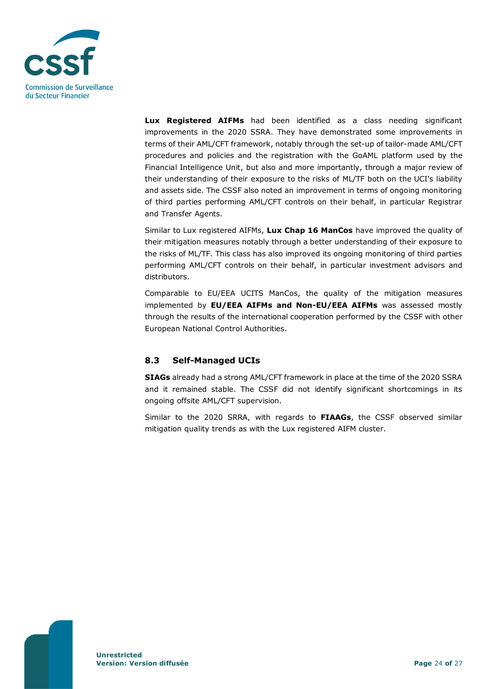

**Lux Registered AIFMs** had been identified as a class needing significant improvements in the 2020 SSRA. They have demonstrated some improvements in terms of their AML/CFT framework, notably through the set-up of tailor-made AML/CFT procedures and policies and the registration with the GoAML platform used by the Financial Intelligence Unit, but also and more importantly, through a major review of their understanding of their exposure to the risks of ML/TF both on the UCI's liability and assets side. The CSSF also noted an improvement in terms of ongoing monitoring of third parties performing AML/CFT controls on their behalf, in particular Registrar and Transfer Agents.

Similar to Lux registered AIFMs, **Lux Chap 16 ManCos** have improved the quality of their mitigation measures notably through a better understanding of their exposure to the risks of ML/TF. This class has also improved its ongoing monitoring of third parties performing AML/CFT controls on their behalf, in particular investment advisors and distributors.

Comparable to EU/EEA UCITS ManCos, the quality of the mitigation measures implemented by **EU/EEA AIFMs and Non-EU/EEA AIFMs** was assessed mostly through the results of the international cooperation performed by the CSSF with other European National Control Authorities.

### <span id="page-23-0"></span>**8.3 Self-Managed UCIs**

**SIAGs** already had a strong AML/CFT framework in place at the time of the 2020 SSRA and it remained stable. The CSSF did not identify significant shortcomings in its ongoing offsite AML/CFT supervision.

Similar to the 2020 SRRA, with regards to **FIAAGs**, the CSSF observed similar mitigation quality trends as with the Lux registered AIFM cluster.

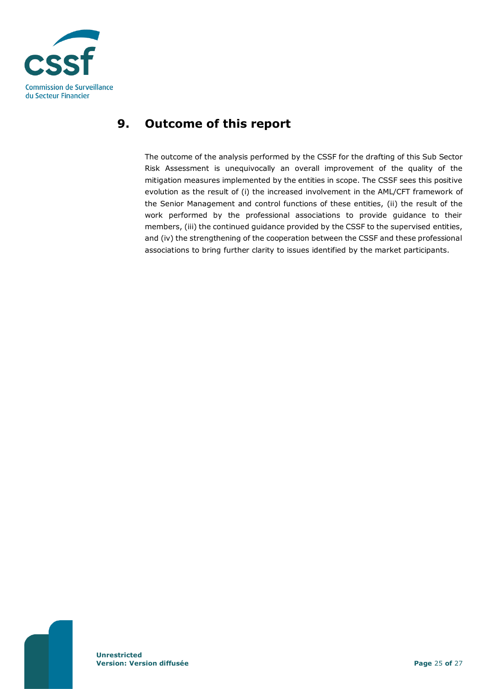

# <span id="page-24-0"></span>**9. Outcome of this report**

The outcome of the analysis performed by the CSSF for the drafting of this Sub Sector Risk Assessment is unequivocally an overall improvement of the quality of the mitigation measures implemented by the entities in scope. The CSSF sees this positive evolution as the result of (i) the increased involvement in the AML/CFT framework of the Senior Management and control functions of these entities, (ii) the result of the work performed by the professional associations to provide guidance to their members, (iii) the continued guidance provided by the CSSF to the supervised entities, and (iv) the strengthening of the cooperation between the CSSF and these professional associations to bring further clarity to issues identified by the market participants.

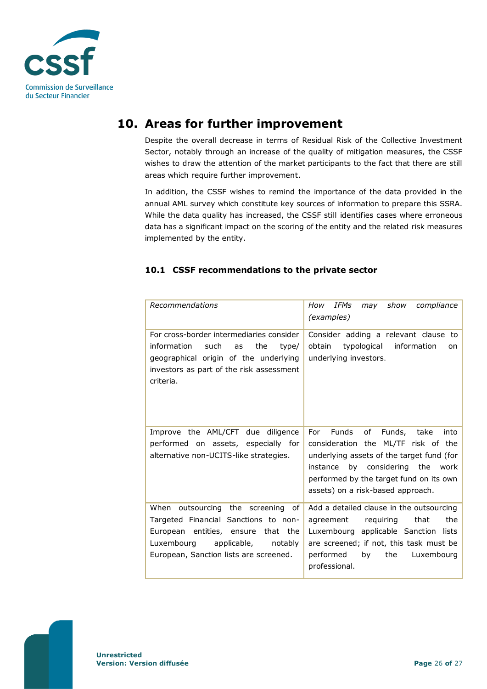

# **10. Areas for further improvement**

<span id="page-25-0"></span>Despite the overall decrease in terms of Residual Risk of the Collective Investment Sector, notably through an increase of the quality of mitigation measures, the CSSF wishes to draw the attention of the market participants to the fact that there are still areas which require further improvement.

In addition, the CSSF wishes to remind the importance of the data provided in the annual AML survey which constitute key sources of information to prepare this SSRA. While the data quality has increased, the CSSF still identifies cases where erroneous data has a significant impact on the scoring of the entity and the related risk measures implemented by the entity.

## <span id="page-25-1"></span>**10.1 CSSF recommendations to the private sector**

| Recommendations                                                                                                                                                                                      | IFMs<br>may show<br>compliance<br>How<br>(examples)                                                                                                                                                                                                     |
|------------------------------------------------------------------------------------------------------------------------------------------------------------------------------------------------------|---------------------------------------------------------------------------------------------------------------------------------------------------------------------------------------------------------------------------------------------------------|
| For cross-border intermediaries consider<br>information<br>such<br>the<br>as<br>type/<br>geographical origin of the underlying<br>investors as part of the risk assessment<br>criteria.              | Consider adding a relevant clause to<br>typological<br>information<br>obtain<br>on<br>underlying investors.                                                                                                                                             |
| Improve the AML/CFT due diligence<br>performed on assets, especially for<br>alternative non-UCITS-like strategies.                                                                                   | Funds<br>of<br>Funds, take<br>For<br>into<br>consideration the ML/TF risk of the<br>underlying assets of the target fund (for<br>by considering the<br>instance<br>work<br>performed by the target fund on its own<br>assets) on a risk-based approach. |
| When outsourcing the screening<br>of<br>Targeted Financial Sanctions to non-<br>European entities, ensure that the<br>Luxembourg<br>applicable,<br>notably<br>European, Sanction lists are screened. | Add a detailed clause in the outsourcing<br>requiring<br>that<br>the<br>agreement<br>Luxembourg applicable Sanction<br>lists<br>are screened; if not, this task must be<br>by<br>the<br>Luxembourg<br>performed<br>professional.                        |

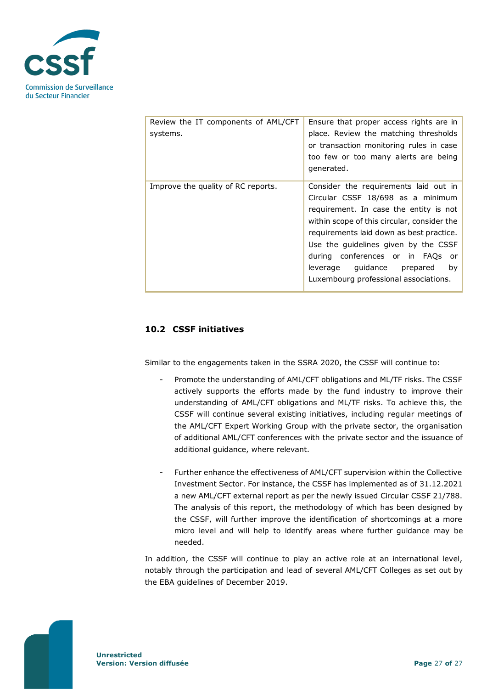

| Review the IT components of AML/CFT<br>systems. | Ensure that proper access rights are in<br>place. Review the matching thresholds<br>or transaction monitoring rules in case<br>too few or too many alerts are being<br>generated.                                                                                                                                                                                                |
|-------------------------------------------------|----------------------------------------------------------------------------------------------------------------------------------------------------------------------------------------------------------------------------------------------------------------------------------------------------------------------------------------------------------------------------------|
| Improve the quality of RC reports.              | Consider the requirements laid out in<br>Circular CSSF 18/698 as a minimum<br>requirement. In case the entity is not<br>within scope of this circular, consider the<br>requirements laid down as best practice.<br>Use the quidelines given by the CSSF<br>during conferences or in FAQs<br>or -<br>guidance prepared<br>leverage<br>by<br>Luxembourg professional associations. |

### <span id="page-26-0"></span>**10.2 CSSF initiatives**

Similar to the engagements taken in the SSRA 2020, the CSSF will continue to:

- Promote the understanding of AML/CFT obligations and ML/TF risks. The CSSF actively supports the efforts made by the fund industry to improve their understanding of AML/CFT obligations and ML/TF risks. To achieve this, the CSSF will continue several existing initiatives, including regular meetings of the AML/CFT Expert Working Group with the private sector, the organisation of additional AML/CFT conferences with the private sector and the issuance of additional guidance, where relevant.
- Further enhance the effectiveness of AML/CFT supervision within the Collective Investment Sector. For instance, the CSSF has implemented as of 31.12.2021 a new AML/CFT external report as per the newly issued Circular CSSF 21/788. The analysis of this report, the methodology of which has been designed by the CSSF, will further improve the identification of shortcomings at a more micro level and will help to identify areas where further guidance may be needed.

In addition, the CSSF will continue to play an active role at an international level, notably through the participation and lead of several AML/CFT Colleges as set out by the EBA guidelines of December 2019.